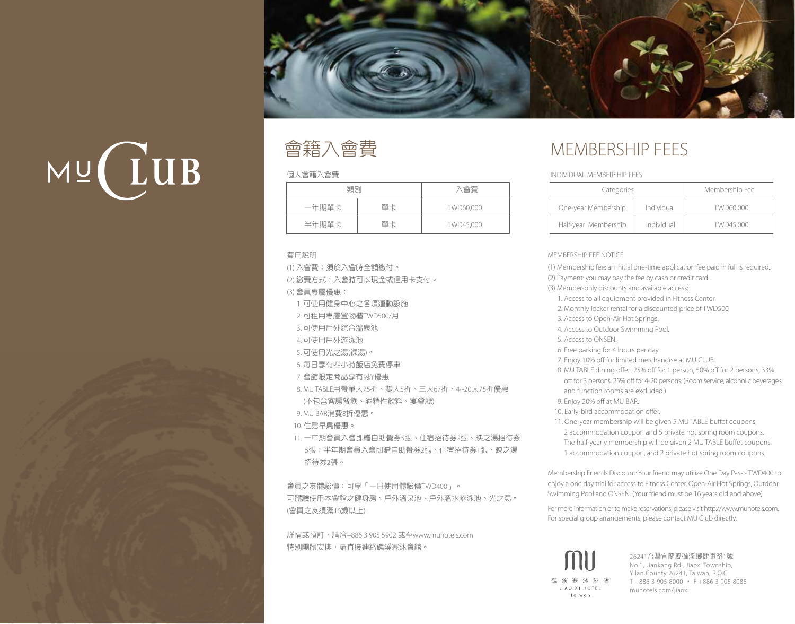

# $MU$   $ULUB$



#### 個人會籍入會費

| 類別    |    | 入會費       |
|-------|----|-----------|
| 一年期單卡 | 單卡 | TWD60,000 |
| 半年期單卡 | 單卡 | TWD45,000 |

#### 費用說明

(1) 入會費:須於入會時全額繳付。 (2) 繳費方式:入會時可以現金或信用卡支付。 (3) 會員專屬優惠: 1. 可使用健身中心之各項運動設施 2. 可租用專屬置物櫃TWD500/月 3. 可使用戶外綜合溫泉池 4. 可使用戶外游泳池 5. 可使用光之湯(裸湯)。 6. 每日享有四小時飯店免費停車 7. 會館限定商品享有9折優惠 8. MU TABLE用餐單人75折、雙人5折、三人67折、4~20人75折優惠 (不包含客房餐飲、酒精性飲料、宴會廳) 9. MU BAR消費8折優惠。 10. 住房早鳥優惠。 11. 一年期會員入會即贈自助餐券5張、住宿招待券2張、映之湯招待券 5張;半年期會員入會即贈自助餐券2張、住宿招待券1張、映之湯 招待券2張。

會員之友體驗價:可享「一日使用體驗價TWD400」。 可體驗使用本會館之健身房、戶外溫泉池、戶外溫水游泳池、光之湯。 (會員之友須滿16歲以上)

詳情或預訂,請洽+886 3 905 5902 或至www.muhotels.com 特別團體安排,請直接連絡礁溪寒沐會館。

# MEMBERSHIP FEES

#### INDIVIDUAL MEMBERSHIP FEES

| Categories           |            | Membership Fee |
|----------------------|------------|----------------|
| One-year Membership  | Individual | TWD60,000      |
| Half-year Membership | Individual | TWD45,000      |

#### MEMBERSHIP FEE NOTICE

(1) Membership fee: an initial one-time application fee paid in full is required. (2) Payment: you may pay the fee by cash or credit card. (3) Member-only discounts and available access: 1. Access to all equipment provided in Fitness Center. 2. Monthly locker rental for a discounted price of TWD500 3. Access to Open-Air Hot Springs. 4. Access to Outdoor Swimming Pool. 5. Access to ONSEN. 6. Free parking for 4 hours per day. 7. Enjoy 10% off for limited merchandise at MU CLUB. 8. MU TABLE dining offer: 25% off for 1 person, 50% off for 2 persons, 33% off for 3 persons, 25% off for 4-20 persons. (Room service, alcoholic beverages and function rooms are excluded.) 9. Enjoy 20% off at MU BAR. 10. Early-bird accommodation offer. 11. One-year membership will be given 5 MU TABLE buffet coupons, 2 accommodation coupon and 5 private hot spring room coupons. The half-yearly membership will be given 2 MU TABLE buffet coupons, 1 accommodation coupon, and 2 private hot spring room coupons.

Membership Friends Discount: Your friend may utilize One Day Pass - TWD400 to enjoy a one day trial for access to Fitness Center, Open-Air Hot Springs, Outdoor Swimming Pool and ONSEN. (Your friend must be 16 years old and above)

For more information orto make reservations, please visit http://www.muhotels.com. For special group arrangements, please contact MU Club directly.

MU 礁溪寒沐酒店 JIAO XI HOTEL Taiwan

26241台灣宜蘭縣礁溪鄉健康路1號 No.1, Jiankang Rd., Jiaoxi Township, Yilan County 26241, Taiwan, R.O.C. T +886 3 905 8000 ‧ F +886 3 905 8088 muhotels.com/jiaoxi